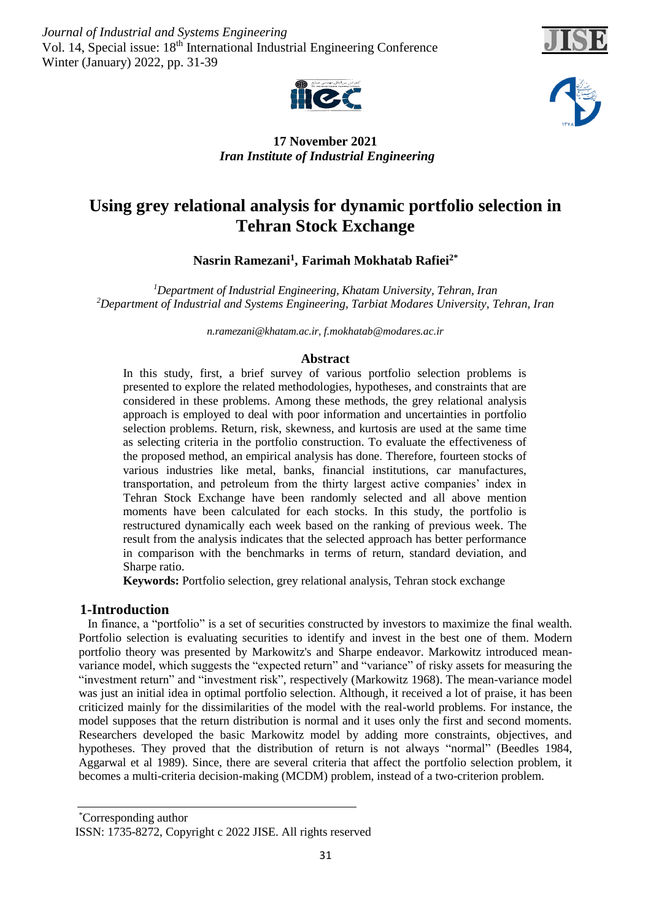*Journal of Industrial and Systems Engineering* Vol. 14, Special issue: 18<sup>th</sup> International Industrial Engineering Conference Winter (January) 2022, pp. 31-39





# **17 November 2021** *Iran Institute of Industrial Engineering*

# **Using grey relational analysis for dynamic portfolio selection in Tehran Stock Exchange**

**Nasrin Ramezani<sup>1</sup> , Farimah Mokhatab Rafiei2\***

*<sup>1</sup>Department of Industrial Engineering, Khatam University, Tehran, Iran <sup>2</sup>Department of Industrial and Systems Engineering, Tarbiat Modares University, Tehran, Iran*

*[n.ramezani@khatam.ac.ir,](mailto:n.ramezani@khatam.ac.ir) f.mokhatab@modares.ac.ir*

# **Abstract**

In this study, first, a brief survey of various portfolio selection problems is presented to explore the related methodologies, hypotheses, and constraints that are considered in these problems. Among these methods, the grey relational analysis approach is employed to deal with poor information and uncertainties in portfolio selection problems. Return, risk, skewness, and kurtosis are used at the same time as selecting criteria in the portfolio construction. To evaluate the effectiveness of the proposed method, an empirical analysis has done. Therefore, fourteen stocks of various industries like metal, banks, financial institutions, car manufactures, transportation, and petroleum from the thirty largest active companies' index in Tehran Stock Exchange have been randomly selected and all above mention moments have been calculated for each stocks. In this study, the portfolio is restructured dynamically each week based on the ranking of previous week. The result from the analysis indicates that the selected approach has better performance in comparison with the benchmarks in terms of return, standard deviation, and Sharpe ratio.

**Keywords:** Portfolio selection, grey relational analysis, Tehran stock exchange

# **1-Introduction**

 In finance, a "portfolio" is a set of securities constructed by investors to maximize the final wealth. Portfolio selection is evaluating securities to identify and invest in the best one of them. Modern portfolio theory was presented by Markowitz's and Sharpe endeavor. Markowitz introduced meanvariance model, which suggests the "expected return" and "variance" of risky assets for measuring the "investment return" and "investment risk", respectively (Markowitz 1968). The mean-variance model was just an initial idea in optimal portfolio selection. Although, it received a lot of praise, it has been criticized mainly for the dissimilarities of the model with the real-world problems. For instance, the model supposes that the return distribution is normal and it uses only the first and second moments. Researchers developed the basic Markowitz model by adding more constraints, objectives, and hypotheses. They proved that the distribution of return is not always "normal" (Beedles 1984, Aggarwal et al 1989). Since, there are several criteria that affect the portfolio selection problem, it becomes a multi-criteria decision-making (MCDM) problem, instead of a two-criterion problem.

Corresponding author \* ISSN: 1735-8272, Copyright c 2022 JISE. All rights reserved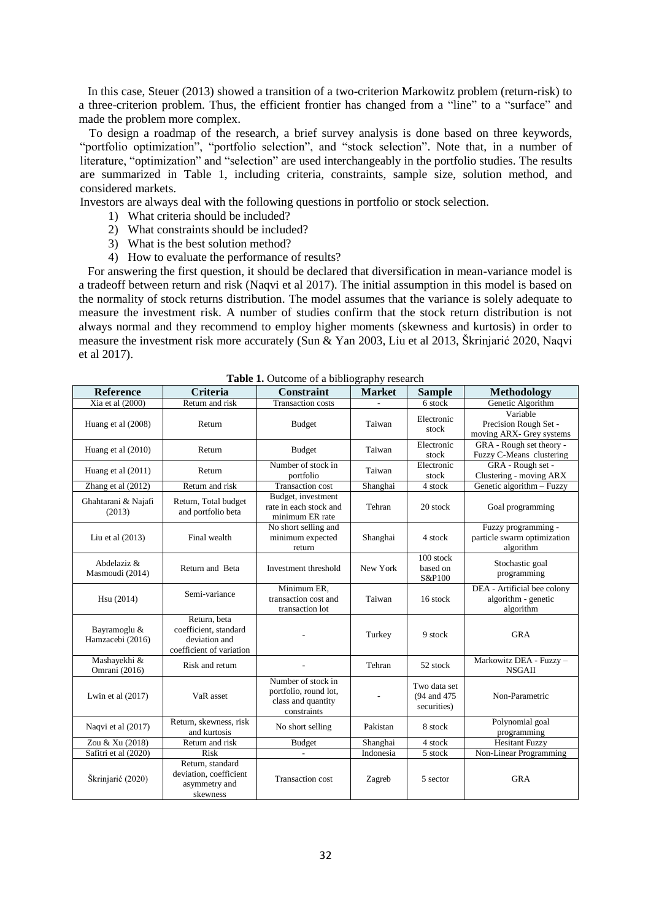In this case, Steuer (2013) showed a transition of a two-criterion Markowitz problem (return-risk) to a three-criterion problem. Thus, the efficient frontier has changed from a "line" to a "surface" and made the problem more complex.

 To design a roadmap of the research, a brief survey analysis is done based on three keywords, "portfolio optimization", "portfolio selection", and "stock selection". Note that, in a number of literature, "optimization" and "selection" are used interchangeably in the portfolio studies. The results are summarized in Table 1, including criteria, constraints, sample size, solution method, and considered markets.

Investors are always deal with the following questions in portfolio or stock selection.

- 1) What criteria should be included?
- 2) What constraints should be included?
- 3) What is the best solution method?
- 4) How to evaluate the performance of results?

 For answering the first question, it should be declared that diversification in mean-variance model is a tradeoff between return and risk (Naqvi et al 2017). The initial assumption in this model is based on the normality of stock returns distribution. The model assumes that the variance is solely adequate to measure the investment risk. A number of studies confirm that the stock return distribution is not always normal and they recommend to employ higher moments (skewness and kurtosis) in order to measure the investment risk more accurately (Sun & Yan 2003, Liu et al 2013, Škrinjarić 2020, Naqvi et al 2017).

| <b>Reference</b>                 | <b>Criteria</b>                                                                    | <b>Constraint</b>                                                                | $\mu$ upn $\mu$ robouren<br><b>Market</b> | <b>Sample</b>                               | <b>Methodology</b>                                              |  |
|----------------------------------|------------------------------------------------------------------------------------|----------------------------------------------------------------------------------|-------------------------------------------|---------------------------------------------|-----------------------------------------------------------------|--|
| Xia et al (2000)                 | Return and risk                                                                    |                                                                                  |                                           | 6 stock                                     | Genetic Algorithm                                               |  |
| Huang et al (2008)               | Return                                                                             | <b>Budget</b>                                                                    | Taiwan                                    | Electronic<br>stock                         | Variable<br>Precision Rough Set -<br>moving ARX- Grey systems   |  |
| Huang et al (2010)               | Return                                                                             | <b>Budget</b>                                                                    | Taiwan                                    | Electronic<br>stock                         | GRA - Rough set theory -<br>Fuzzy C-Means clustering            |  |
| Huang et al (2011)               | Return                                                                             | Number of stock in<br>portfolio                                                  | Taiwan                                    | Electronic<br>stock                         | GRA - Rough set -<br>Clustering - moving ARX                    |  |
| Zhang et al (2012)               | Return and risk                                                                    | Transaction cost                                                                 | Shanghai                                  | 4 stock                                     | Genetic algorithm - Fuzzy                                       |  |
| Ghahtarani & Najafi<br>(2013)    | Return, Total budget<br>and portfolio beta                                         | Budget, investment<br>rate in each stock and<br>minimum ER rate                  | Tehran                                    | 20 stock                                    | Goal programming                                                |  |
| Liu et al $(2013)$               | Final wealth                                                                       | No short selling and<br>minimum expected<br>return                               | Shanghai                                  | 4 stock                                     | Fuzzy programming -<br>particle swarm optimization<br>algorithm |  |
| Abdelaziz &<br>Masmoudi (2014)   | Return and Beta                                                                    | Investment threshold                                                             | New York                                  | 100 stock<br>based on<br>S&P100             | Stochastic goal<br>programming                                  |  |
| Hsu (2014)                       | Semi-variance                                                                      | Minimum ER,<br>transaction cost and<br>transaction lot                           | Taiwan                                    | 16 stock                                    | DEA - Artificial bee colony<br>algorithm - genetic<br>algorithm |  |
| Bayramoglu &<br>Hamzacebi (2016) | Return, beta<br>coefficient, standard<br>deviation and<br>coefficient of variation |                                                                                  | Turkey                                    | 9 stock                                     | <b>GRA</b>                                                      |  |
| Mashayekhi &<br>Omrani (2016)    | Risk and return                                                                    |                                                                                  | Tehran                                    | 52 stock                                    | Markowitz DEA - Fuzzy -<br><b>NSGAII</b>                        |  |
| Lwin et al $(2017)$              | VaR asset                                                                          | Number of stock in<br>portfolio, round lot,<br>class and quantity<br>constraints |                                           | Two data set<br>(94 and 475)<br>securities) | Non-Parametric                                                  |  |
| Naqvi et al (2017)               | Return, skewness, risk<br>and kurtosis                                             | No short selling                                                                 | Pakistan                                  | 8 stock                                     | Polynomial goal<br>programming                                  |  |
| Zou & Xu (2018)                  | Return and risk                                                                    | <b>Budget</b>                                                                    | Shanghai                                  | 4 stock                                     | <b>Hesitant Fuzzy</b>                                           |  |
| Safitri et al (2020)             | <b>Risk</b>                                                                        | $\overline{a}$                                                                   | Indonesia                                 | 5 stock                                     | Non-Linear Programming                                          |  |
| Škrinjarić (2020)                | Return, standard<br>deviation, coefficient<br>asymmetry and<br>skewness            | <b>Transaction cost</b>                                                          | Zagreb                                    | 5 sector                                    | <b>GRA</b>                                                      |  |

**Table 1.** Outcome of a bibliography research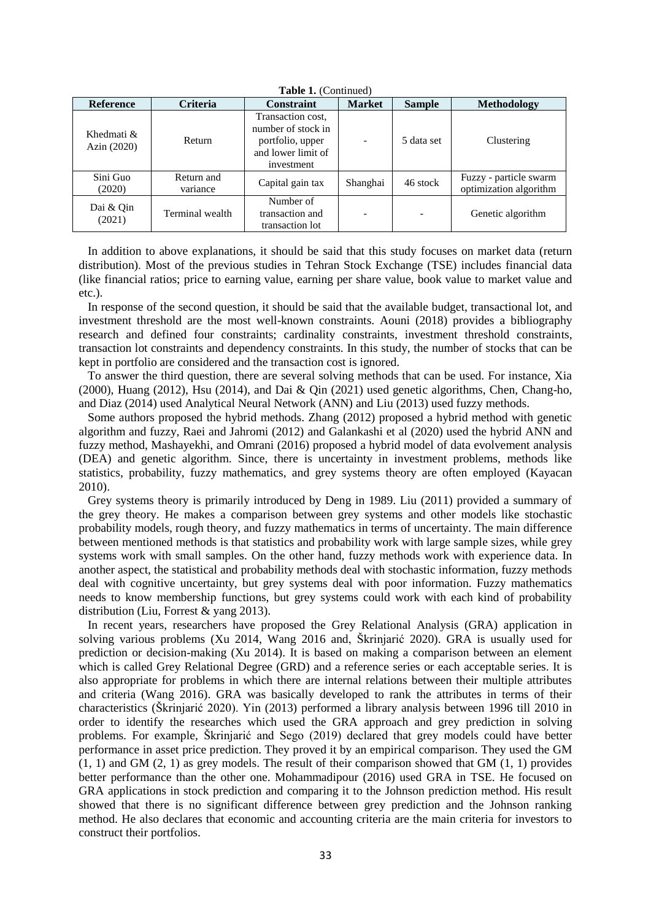| <b>Table 1.</b> (Continued) |                        |                                                                                                 |                          |               |                                                  |  |  |
|-----------------------------|------------------------|-------------------------------------------------------------------------------------------------|--------------------------|---------------|--------------------------------------------------|--|--|
| <b>Reference</b>            | <b>Criteria</b>        | <b>Constraint</b>                                                                               | <b>Market</b>            | <b>Sample</b> | <b>Methodology</b>                               |  |  |
| Khedmati &<br>Azin (2020)   | Return                 | Transaction cost,<br>number of stock in<br>portfolio, upper<br>and lower limit of<br>investment | $\overline{\phantom{a}}$ | 5 data set    | Clustering                                       |  |  |
| Sini Guo<br>(2020)          | Return and<br>variance | Capital gain tax                                                                                | Shanghai                 | 46 stock      | Fuzzy - particle swarm<br>optimization algorithm |  |  |
| Dai & Qin<br>(2021)         | Terminal wealth        | Number of<br>transaction and<br>transaction lot                                                 | $\overline{\phantom{0}}$ |               | Genetic algorithm                                |  |  |

**Table 1.** (Continued)

 In addition to above explanations, it should be said that this study focuses on market data (return distribution). Most of the previous studies in Tehran Stock Exchange (TSE) includes financial data (like financial ratios; price to earning value, earning per share value, book value to market value and etc.).

 In response of the second question, it should be said that the available budget, transactional lot, and investment threshold are the most well-known constraints. Aouni (2018) provides a bibliography research and defined four constraints; cardinality constraints, investment threshold constraints, transaction lot constraints and dependency constraints. In this study, the number of stocks that can be kept in portfolio are considered and the transaction cost is ignored.

 To answer the third question, there are several solving methods that can be used. For instance, Xia (2000), Huang (2012), Hsu (2014), and Dai & Oin (2021) used genetic algorithms, Chen, Chang-ho, and Diaz (2014) used Analytical Neural Network (ANN) and Liu (2013) used fuzzy methods.

 Some authors proposed the hybrid methods. Zhang (2012) proposed a hybrid method with genetic algorithm and fuzzy, Raei and Jahromi (2012) and Galankashi et al (2020) used the hybrid ANN and fuzzy method, Mashayekhi, and Omrani (2016) proposed a hybrid model of data evolvement analysis (DEA) and genetic algorithm. Since, there is uncertainty in investment problems, methods like statistics, probability, fuzzy mathematics, and grey systems theory are often employed (Kayacan 2010).

 Grey systems theory is primarily introduced by Deng in 1989. Liu (2011) provided a summary of the grey theory. He makes a comparison between grey systems and other models like stochastic probability models, rough theory, and fuzzy mathematics in terms of uncertainty. The main difference between mentioned methods is that statistics and probability work with large sample sizes, while grey systems work with small samples. On the other hand, fuzzy methods work with experience data. In another aspect, the statistical and probability methods deal with stochastic information, fuzzy methods deal with cognitive uncertainty, but grey systems deal with poor information. Fuzzy mathematics needs to know membership functions, but grey systems could work with each kind of probability distribution (Liu, Forrest & yang 2013).

 In recent years, researchers have proposed the Grey Relational Analysis (GRA) application in solving various problems (Xu 2014, Wang 2016 and, Škrinjarić 2020). GRA is usually used for prediction or decision-making (Xu 2014). It is based on making a comparison between an element which is called Grey Relational Degree (GRD) and a reference series or each acceptable series. It is also appropriate for problems in which there are internal relations between their multiple attributes and criteria (Wang 2016). GRA was basically developed to rank the attributes in terms of their characteristics (Škrinjarić 2020). Yin (2013) performed a library analysis between 1996 till 2010 in order to identify the researches which used the GRA approach and grey prediction in solving problems. For example, Škrinjarić and Sego (2019) declared that grey models could have better performance in asset price prediction. They proved it by an empirical comparison. They used the GM  $(1, 1)$  and GM  $(2, 1)$  as grey models. The result of their comparison showed that GM  $(1, 1)$  provides better performance than the other one. Mohammadipour (2016) used GRA in TSE. He focused on GRA applications in stock prediction and comparing it to the Johnson prediction method. His result showed that there is no significant difference between grey prediction and the Johnson ranking method. He also declares that economic and accounting criteria are the main criteria for investors to construct their portfolios.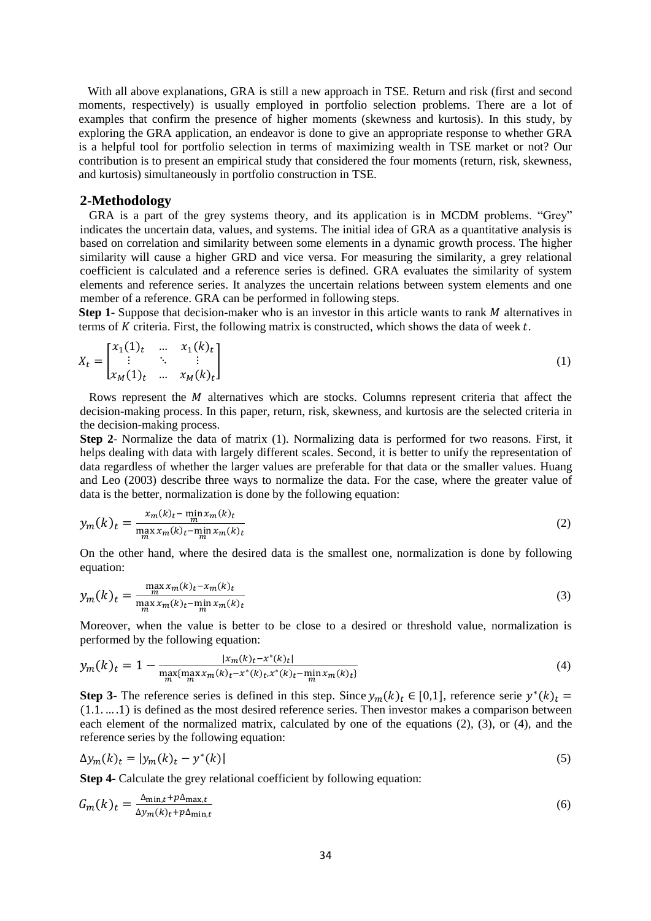With all above explanations, GRA is still a new approach in TSE. Return and risk (first and second moments, respectively) is usually employed in portfolio selection problems. There are a lot of examples that confirm the presence of higher moments (skewness and kurtosis). In this study, by exploring the GRA application, an endeavor is done to give an appropriate response to whether GRA is a helpful tool for portfolio selection in terms of maximizing wealth in TSE market or not? Our contribution is to present an empirical study that considered the four moments (return, risk, skewness, and kurtosis) simultaneously in portfolio construction in TSE.

#### **2-Methodology**

 GRA is a part of the grey systems theory, and its application is in MCDM problems. "Grey" indicates the uncertain data, values, and systems. The initial idea of GRA as a quantitative analysis is based on correlation and similarity between some elements in a dynamic growth process. The higher similarity will cause a higher GRD and vice versa. For measuring the similarity, a grey relational coefficient is calculated and a reference series is defined. GRA evaluates the similarity of system elements and reference series. It analyzes the uncertain relations between system elements and one member of a reference. GRA can be performed in following steps.

**Step 1**- Suppose that decision-maker who is an investor in this article wants to rank M alternatives in terms of  $K$  criteria. First, the following matrix is constructed, which shows the data of week  $t$ .

$$
X_t = \begin{bmatrix} x_1(1)_t & \dots & x_1(k)_t \\ \vdots & \ddots & \vdots \\ x_M(1)_t & \dots & x_M(k)_t \end{bmatrix}
$$
 (1)

Rows represent the  $M$  alternatives which are stocks. Columns represent criteria that affect the decision-making process. In this paper, return, risk, skewness, and kurtosis are the selected criteria in the decision-making process.

**Step 2**- Normalize the data of matrix (1). Normalizing data is performed for two reasons. First, it helps dealing with data with largely different scales. Second, it is better to unify the representation of data regardless of whether the larger values are preferable for that data or the smaller values. Huang and Leo (2003) describe three ways to normalize the data. For the case, where the greater value of data is the better, normalization is done by the following equation:

$$
y_m(k)_t = \frac{x_m(k)_t - \min_m x_m(k)_t}{\max_m x_m(k)_t - \min_m x_m(k)_t}
$$
(2)

On the other hand, where the desired data is the smallest one, normalization is done by following equation:

$$
y_m(k)_t = \frac{\max\limits_{m} x_m(k)_t - x_m(k)_t}{\max\limits_{m} x_m(k)_t - \min\limits_{m} x_m(k)_t}
$$
(3)

Moreover, when the value is better to be close to a desired or threshold value, normalization is performed by the following equation:

$$
y_m(k)_t = 1 - \frac{|x_m(k)_t - x^*(k)_t|}{\max\{ \max_m x_m(k)_t - x^*(k)_t, x^*(k)_t - \min_m x_m(k)_t \}} \tag{4}
$$

**Step 3**- The reference series is defined in this step. Since  $y_m(k)_t \in [0,1]$ , reference serie  $y^*(k)_t =$ (1.1. … .1) is defined as the most desired reference series. Then investor makes a comparison between each element of the normalized matrix, calculated by one of the equations (2), (3), or (4), and the reference series by the following equation:

$$
\Delta y_m(k)_t = |y_m(k)_t - y^*(k)|\tag{5}
$$

**Step 4-** Calculate the grey relational coefficient by following equation:

$$
G_m(k)_t = \frac{\Delta_{\min,t} + p\Delta_{\max,t}}{\Delta y_m(k)_t + p\Delta_{\min,t}}
$$
(6)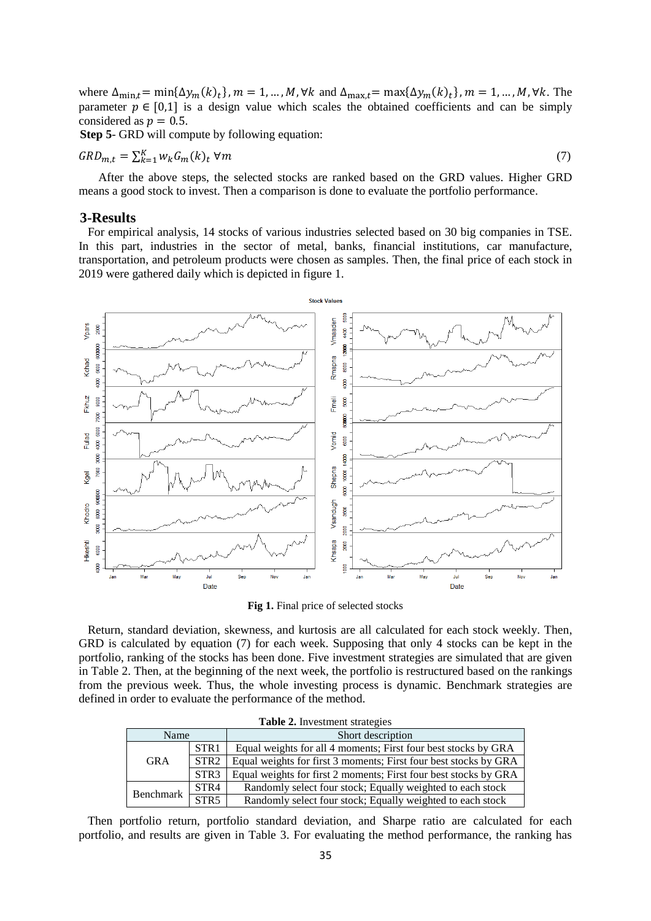where  $\Delta_{\min,t} = \min{\Delta y_m(k)_t}$ ,  $m = 1, ..., M$ ,  $\forall k$  and  $\Delta_{\max,t} = \max{\Delta y_m(k)_t}$ ,  $m = 1, ..., M$ ,  $\forall k$ . The parameter  $p \in [0,1]$  is a design value which scales the obtained coefficients and can be simply considered as  $p = 0.5$ .

**Step 5**- GRD will compute by following equation:

$$
GRD_{m,t} = \sum_{k=1}^{K} w_k G_m(k)_t \ \forall m
$$
\n<sup>(7)</sup>

After the above steps, the selected stocks are ranked based on the GRD values. Higher GRD means a good stock to invest. Then a comparison is done to evaluate the portfolio performance.

#### **3-Results**

 For empirical analysis, 14 stocks of various industries selected based on 30 big companies in TSE. In this part, industries in the sector of metal, banks, financial institutions, car manufacture, transportation, and petroleum products were chosen as samples. Then, the final price of each stock in 2019 were gathered daily which is depicted in figure 1.



**Fig 1.** Final price of selected stocks

 Return, standard deviation, skewness, and kurtosis are all calculated for each stock weekly. Then, GRD is calculated by equation (7) for each week. Supposing that only 4 stocks can be kept in the portfolio, ranking of the stocks has been done. Five investment strategies are simulated that are given in Table 2. Then, at the beginning of the next week, the portfolio is restructured based on the rankings from the previous week. Thus, the whole investing process is dynamic. Benchmark strategies are defined in order to evaluate the performance of the method.

| <b>Table 2.</b> Investment strategies |                  |                                                                  |  |  |  |
|---------------------------------------|------------------|------------------------------------------------------------------|--|--|--|
| Name                                  |                  | Short description                                                |  |  |  |
| <b>GRA</b>                            | STR <sub>1</sub> | Equal weights for all 4 moments; First four best stocks by GRA   |  |  |  |
|                                       | STR <sub>2</sub> | Equal weights for first 3 moments; First four best stocks by GRA |  |  |  |
|                                       | STR <sub>3</sub> | Equal weights for first 2 moments; First four best stocks by GRA |  |  |  |
| Benchmark                             | STR4             | Randomly select four stock; Equally weighted to each stock       |  |  |  |
|                                       | STR5             | Randomly select four stock; Equally weighted to each stock       |  |  |  |

**Table 2.** Investment strategies

 Then portfolio return, portfolio standard deviation, and Sharpe ratio are calculated for each portfolio, and results are given in Table 3. For evaluating the method performance, the ranking has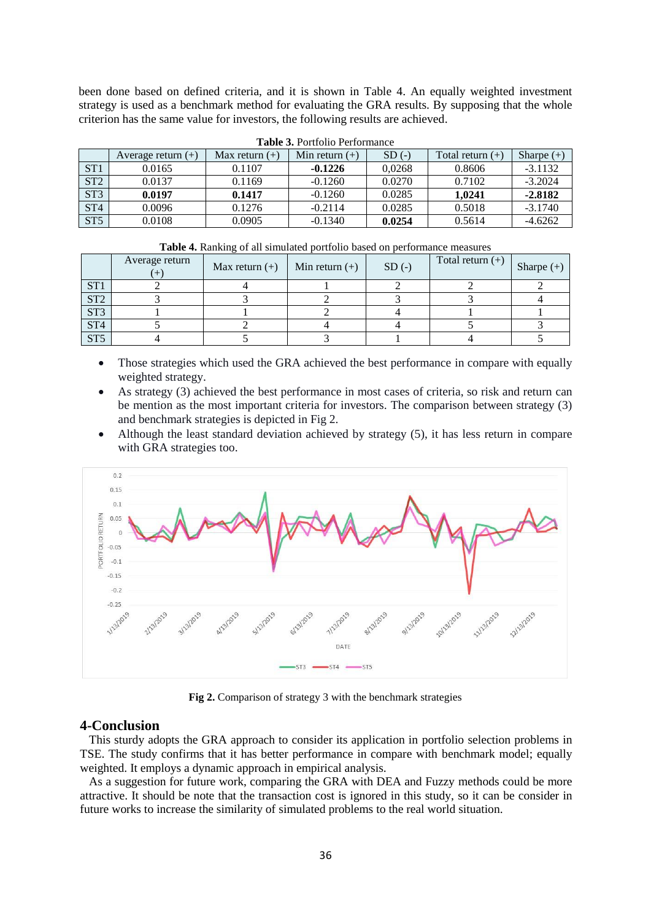been done based on defined criteria, and it is shown in Table 4. An equally weighted investment strategy is used as a benchmark method for evaluating the GRA results. By supposing that the whole criterion has the same value for investors, the following results are achieved.

| $\blacksquare$ which is a controlled to controlled the control of $\blacksquare$ |                      |                  |                  |         |                    |              |  |  |
|----------------------------------------------------------------------------------|----------------------|------------------|------------------|---------|--------------------|--------------|--|--|
|                                                                                  | Average return $(+)$ | Max return $(+)$ | Min return $(+)$ | $SD(-)$ | Total return $(+)$ | Sharpe $(+)$ |  |  |
| ST1                                                                              | 0.0165               | 0.1107           | $-0.1226$        | 0.0268  | 0.8606             | $-3.1132$    |  |  |
| ST <sub>2</sub>                                                                  | 0.0137               | 0.1169           | $-0.1260$        | 0.0270  | 0.7102             | $-3.2024$    |  |  |
| ST <sub>3</sub>                                                                  | 0.0197               | 0.1417           | $-0.1260$        | 0.0285  | 1.0241             | $-2.8182$    |  |  |
| ST <sub>4</sub>                                                                  | 0.0096               | 0.1276           | $-0.2114$        | 0.0285  | 0.5018             | $-3.1740$    |  |  |
| ST <sub>5</sub>                                                                  | 0.0108               | 0.0905           | $-0.1340$        | 0.0254  | 0.5614             | $-4.6262$    |  |  |

**Table 3.** Portfolio Performance

|                 | Average return | Max return $(+)$ | Min return $(+)$ | $SD(-)$ | Total return $(+)$ | Sharpe $(+)$ |
|-----------------|----------------|------------------|------------------|---------|--------------------|--------------|
| ST <sub>1</sub> |                |                  |                  |         |                    |              |
| ST <sub>2</sub> |                |                  |                  |         |                    |              |
| ST <sub>3</sub> |                |                  |                  |         |                    |              |
| ST <sub>4</sub> |                |                  |                  |         |                    |              |
| ST <sub>5</sub> |                |                  |                  |         |                    |              |

**Table 4.** Ranking of all simulated portfolio based on performance measures

- Those strategies which used the GRA achieved the best performance in compare with equally weighted strategy.
- As strategy (3) achieved the best performance in most cases of criteria, so risk and return can be mention as the most important criteria for investors. The comparison between strategy (3) and benchmark strategies is depicted in Fig 2.
- Although the least standard deviation achieved by strategy (5), it has less return in compare with GRA strategies too.



**Fig 2.** Comparison of strategy 3 with the benchmark strategies

## **4-Conclusion**

 This sturdy adopts the GRA approach to consider its application in portfolio selection problems in TSE. The study confirms that it has better performance in compare with benchmark model; equally weighted. It employs a dynamic approach in empirical analysis.

 As a suggestion for future work, comparing the GRA with DEA and Fuzzy methods could be more attractive. It should be note that the transaction cost is ignored in this study, so it can be consider in future works to increase the similarity of simulated problems to the real world situation.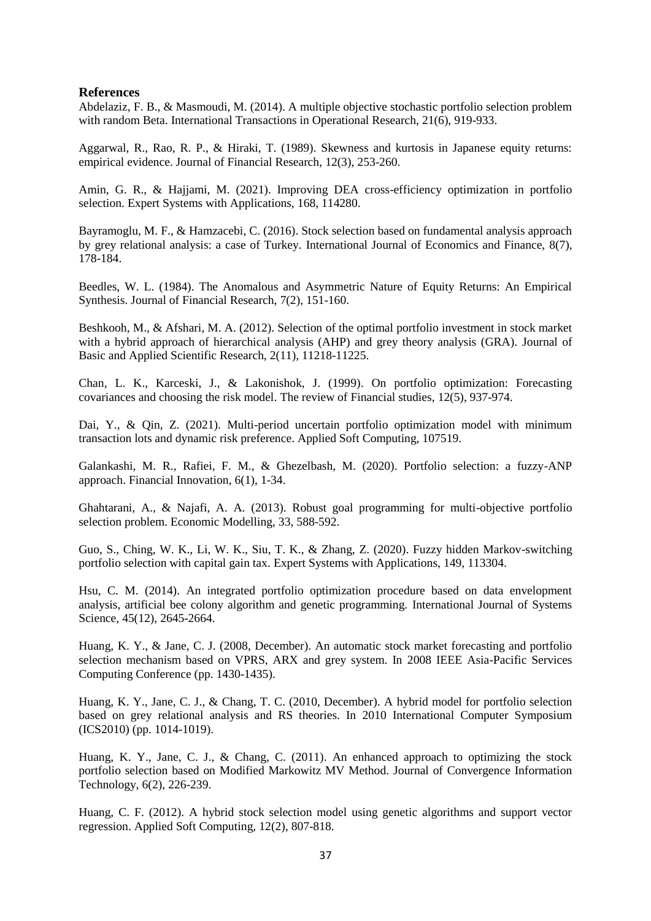## **References**

Abdelaziz, F. B., & Masmoudi, M. (2014). A multiple objective stochastic portfolio selection problem with random Beta. International Transactions in Operational Research, 21(6), 919-933.

Aggarwal, R., Rao, R. P., & Hiraki, T. (1989). Skewness and kurtosis in Japanese equity returns: empirical evidence. Journal of Financial Research, 12(3), 253-260.

Amin, G. R., & Hajjami, M. (2021). Improving DEA cross-efficiency optimization in portfolio selection. Expert Systems with Applications, 168, 114280.

Bayramoglu, M. F., & Hamzacebi, C. (2016). Stock selection based on fundamental analysis approach by grey relational analysis: a case of Turkey. International Journal of Economics and Finance, 8(7), 178-184.

Beedles, W. L. (1984). The Anomalous and Asymmetric Nature of Equity Returns: An Empirical Synthesis. Journal of Financial Research, 7(2), 151-160.

Beshkooh, M., & Afshari, M. A. (2012). Selection of the optimal portfolio investment in stock market with a hybrid approach of hierarchical analysis (AHP) and grey theory analysis (GRA). Journal of Basic and Applied Scientific Research, 2(11), 11218-11225.

Chan, L. K., Karceski, J., & Lakonishok, J. (1999). On portfolio optimization: Forecasting covariances and choosing the risk model. The review of Financial studies, 12(5), 937-974.

Dai, Y., & Qin, Z. (2021). Multi-period uncertain portfolio optimization model with minimum transaction lots and dynamic risk preference. Applied Soft Computing, 107519.

Galankashi, M. R., Rafiei, F. M., & Ghezelbash, M. (2020). Portfolio selection: a fuzzy-ANP approach. Financial Innovation, 6(1), 1-34.

Ghahtarani, A., & Najafi, A. A. (2013). Robust goal programming for multi-objective portfolio selection problem. Economic Modelling, 33, 588-592.

Guo, S., Ching, W. K., Li, W. K., Siu, T. K., & Zhang, Z. (2020). Fuzzy hidden Markov-switching portfolio selection with capital gain tax. Expert Systems with Applications, 149, 113304.

Hsu, C. M. (2014). An integrated portfolio optimization procedure based on data envelopment analysis, artificial bee colony algorithm and genetic programming. International Journal of Systems Science, 45(12), 2645-2664.

Huang, K. Y., & Jane, C. J. (2008, December). An automatic stock market forecasting and portfolio selection mechanism based on VPRS, ARX and grey system. In 2008 IEEE Asia-Pacific Services Computing Conference (pp. 1430-1435).

Huang, K. Y., Jane, C. J., & Chang, T. C. (2010, December). A hybrid model for portfolio selection based on grey relational analysis and RS theories. In 2010 International Computer Symposium (ICS2010) (pp. 1014-1019).

Huang, K. Y., Jane, C. J., & Chang, C. (2011). An enhanced approach to optimizing the stock portfolio selection based on Modified Markowitz MV Method. Journal of Convergence Information Technology, 6(2), 226-239.

Huang, C. F. (2012). A hybrid stock selection model using genetic algorithms and support vector regression. Applied Soft Computing, 12(2), 807-818.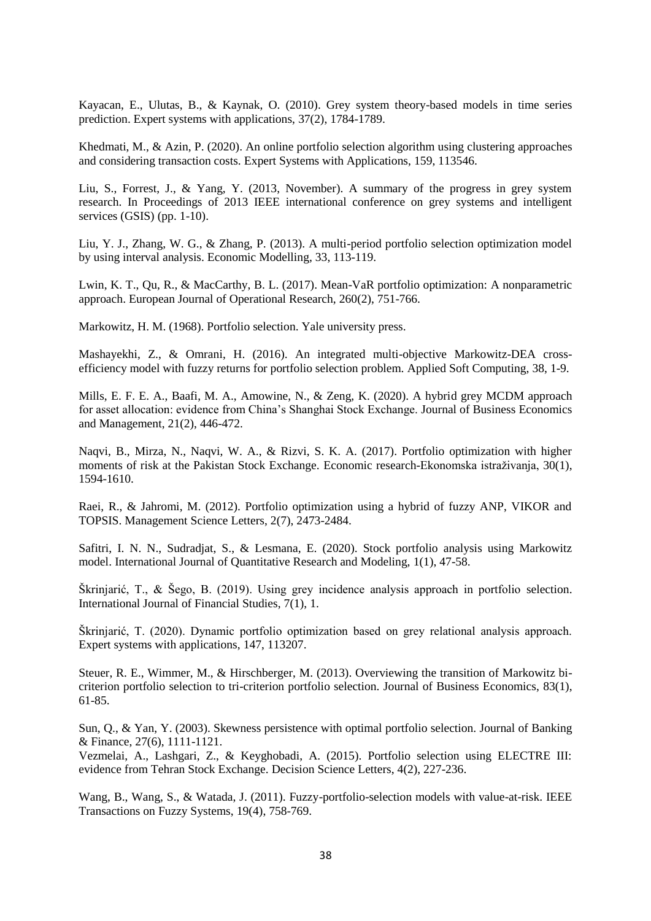Kayacan, E., Ulutas, B., & Kaynak, O. (2010). Grey system theory-based models in time series prediction. Expert systems with applications, 37(2), 1784-1789.

Khedmati, M., & Azin, P. (2020). An online portfolio selection algorithm using clustering approaches and considering transaction costs. Expert Systems with Applications, 159, 113546.

Liu, S., Forrest, J., & Yang, Y. (2013, November). A summary of the progress in grey system research. In Proceedings of 2013 IEEE international conference on grey systems and intelligent services (GSIS) (pp. 1-10).

Liu, Y. J., Zhang, W. G., & Zhang, P. (2013). A multi-period portfolio selection optimization model by using interval analysis. Economic Modelling, 33, 113-119.

Lwin, K. T., Qu, R., & MacCarthy, B. L. (2017). Mean-VaR portfolio optimization: A nonparametric approach. European Journal of Operational Research, 260(2), 751-766.

Markowitz, H. M. (1968). Portfolio selection. Yale university press.

Mashayekhi, Z., & Omrani, H. (2016). An integrated multi-objective Markowitz-DEA crossefficiency model with fuzzy returns for portfolio selection problem. Applied Soft Computing, 38, 1-9.

Mills, E. F. E. A., Baafi, M. A., Amowine, N., & Zeng, K. (2020). A hybrid grey MCDM approach for asset allocation: evidence from China's Shanghai Stock Exchange. Journal of Business Economics and Management, 21(2), 446-472.

Naqvi, B., Mirza, N., Naqvi, W. A., & Rizvi, S. K. A. (2017). Portfolio optimization with higher moments of risk at the Pakistan Stock Exchange. Economic research-Ekonomska istraživanja, 30(1), 1594-1610.

Raei, R., & Jahromi, M. (2012). Portfolio optimization using a hybrid of fuzzy ANP, VIKOR and TOPSIS. Management Science Letters, 2(7), 2473-2484.

Safitri, I. N. N., Sudradjat, S., & Lesmana, E. (2020). Stock portfolio analysis using Markowitz model. International Journal of Quantitative Research and Modeling, 1(1), 47-58.

Škrinjarić, T., & Šego, B. (2019). Using grey incidence analysis approach in portfolio selection. International Journal of Financial Studies, 7(1), 1.

Škrinjarić, T. (2020). Dynamic portfolio optimization based on grey relational analysis approach. Expert systems with applications, 147, 113207.

Steuer, R. E., Wimmer, M., & Hirschberger, M. (2013). Overviewing the transition of Markowitz bicriterion portfolio selection to tri-criterion portfolio selection. Journal of Business Economics, 83(1), 61-85.

Sun, Q., & Yan, Y. (2003). Skewness persistence with optimal portfolio selection. Journal of Banking & Finance, 27(6), 1111-1121.

Vezmelai, A., Lashgari, Z., & Keyghobadi, A. (2015). Portfolio selection using ELECTRE III: evidence from Tehran Stock Exchange. Decision Science Letters, 4(2), 227-236.

Wang, B., Wang, S., & Watada, J. (2011). Fuzzy-portfolio-selection models with value-at-risk. IEEE Transactions on Fuzzy Systems, 19(4), 758-769.